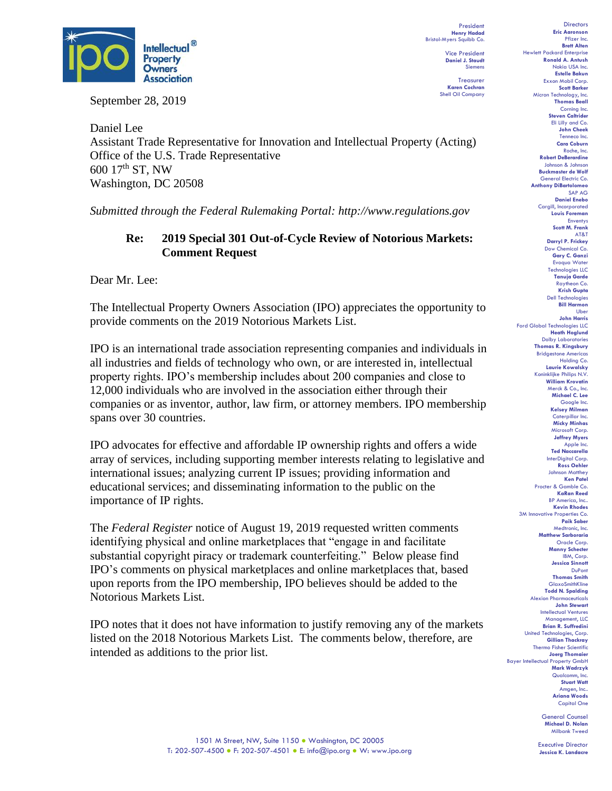

September 28, 2019

President **Henry Hadad** Bristol-Myers Squibb Co. Vice President **Daniel J. Staudt** Siemens

> Treasurer **Karen Cochran** Shell Oil Company

Daniel Lee Assistant Trade Representative for Innovation and Intellectual Property (Acting) Office of the U.S. Trade Representative 600 17th ST, NW Washington, DC 20508

*Submitted through the Federal Rulemaking Portal: http://www.regulations.gov*

#### **Re: 2019 Special 301 Out-of-Cycle Review of Notorious Markets: Comment Request**

Dear Mr. Lee:

The Intellectual Property Owners Association (IPO) appreciates the opportunity to provide comments on the 2019 Notorious Markets List.

IPO is an international trade association representing companies and individuals in all industries and fields of technology who own, or are interested in, intellectual property rights. IPO's membership includes about 200 companies and close to 12,000 individuals who are involved in the association either through their companies or as inventor, author, law firm, or attorney members. IPO membership spans over 30 countries.

IPO advocates for effective and affordable IP ownership rights and offers a wide array of services, including supporting member interests relating to legislative and international issues; analyzing current IP issues; providing information and educational services; and disseminating information to the public on the importance of IP rights.

The *Federal Register* notice of August 19, 2019 requested written comments identifying physical and online marketplaces that "engage in and facilitate substantial copyright piracy or trademark counterfeiting." Below please find IPO's comments on physical marketplaces and online marketplaces that, based upon reports from the IPO membership, IPO believes should be added to the Notorious Markets List.

IPO notes that it does not have information to justify removing any of the markets listed on the 2018 Notorious Markets List. The comments below, therefore, are intended as additions to the prior list.

**Directors Eric Aaronson**  Pfizer Inc. **Brett Alten** Hewlett Packard Enterprise **Ronald A. Antush** Nokia USA Inc. **Estelle Bakun** Exxon Mobil Corp. **Scott Barker** Micron Technology, Inc. **Thomas Beall** Corning Inc. **Steven Caltrider** Eli Lilly and Co. **John Cheek** Tenneco Inc. **Cara Coburn** Roche, Inc. **Robert DeBerardine** Johnson & Johnson **Buckmaster de Wolf** General Electric Co. **Anthony DiBartolomeo** SAP AG **Daniel Enebo** Cargill, Incorporated **Louis Foreman** Enventys **Scott M. Frank** AT&T **Darryl P. Frickey** Dow Chemical Co. **Gary C. Ganzi** Evoqua Water Technologies LLC **Tanuja Garde** Raytheon Co. **Krish Gupta** Dell Technologies **Bill Harmon** Uber **John Harris** Ford Global Technologies LLC **Heath Hoglund** Dolby Laboratories **Thomas R. Kingsbury** Bridgestone Americas Holding Co. **Laurie Kowalsky** Koninklijke Philips N.V. **William Krovatin** Merck & Co., Inc. **Michael C. Lee** Google Inc. **Kelsey Milman** Caterpillar Inc. **Micky Minhas** Microsoft Corp. **Jeffrey Myers** Apple Inc. **Ted Naccarella** InterDigital Corp. **Ross Oehler** Johnson Matthey **Ken Patel** Procter & Gamble Co. **KaRan Reed** BP America, Inc.. **Kevin Rhodes** 3M Innovative Properties Co. **Paik Saber** Medtronic, Inc. **Matthew Sarboraria** Oracle Corp. **Manny Schecter** IBM, Corp. **Jessica Sinnott** DuPont **Thomas Smith GlaxoSmithKline Todd N. Spalding** Alexion Pharm **John Stewart** Intellectual Ventures Management, LLC **Brian R. Suffredini** United Technologies, Corp. **Gillian Thackray** Thermo Fisher Scientific **Joerg Thomaier** Bayer Intellectual Property GmbH **Mark Wadrzyk** Qualcomm, Inc. **Stuart Watt** Amgen, Inc.. **Ariana Woods** Capital One

General Counsel **Michael D. Nolan** Milbank Tweed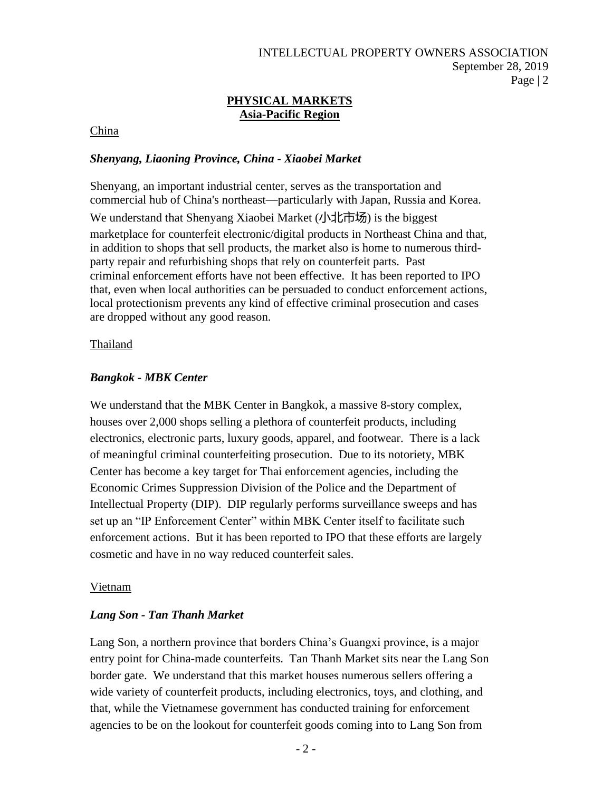#### **PHYSICAL MARKETS Asia-Pacific Region**

China

#### *Shenyang, Liaoning Province, China - Xiaobei Market*

Shenyang, an important industrial center, serves as the transportation and commercial hub of China's northeast—particularly with Japan, Russia and Korea. We understand that Shenyang Xiaobei Market (小北市场) is the biggest marketplace for counterfeit electronic/digital products in Northeast China and that, in addition to shops that sell products, the market also is home to numerous thirdparty repair and refurbishing shops that rely on counterfeit parts. Past criminal enforcement efforts have not been effective. It has been reported to IPO that, even when local authorities can be persuaded to conduct enforcement actions, local protectionism prevents any kind of effective criminal prosecution and cases are dropped without any good reason.

#### Thailand

#### *Bangkok - MBK Center*

We understand that the MBK Center in Bangkok, a massive 8-story complex, houses over 2,000 shops selling a plethora of counterfeit products, including electronics, electronic parts, luxury goods, apparel, and footwear. There is a lack of meaningful criminal counterfeiting prosecution. Due to its notoriety, MBK Center has become a key target for Thai enforcement agencies, including the Economic Crimes Suppression Division of the Police and the Department of Intellectual Property (DIP). DIP regularly performs surveillance sweeps and has set up an "IP Enforcement Center" within MBK Center itself to facilitate such enforcement actions. But it has been reported to IPO that these efforts are largely cosmetic and have in no way reduced counterfeit sales.

#### Vietnam

# *Lang Son - Tan Thanh Market*

Lang Son, a northern province that borders China's Guangxi province, is a major entry point for China-made counterfeits. Tan Thanh Market sits near the Lang Son border gate. We understand that this market houses numerous sellers offering a wide variety of counterfeit products, including electronics, toys, and clothing, and that, while the Vietnamese government has conducted training for enforcement agencies to be on the lookout for counterfeit goods coming into to Lang Son from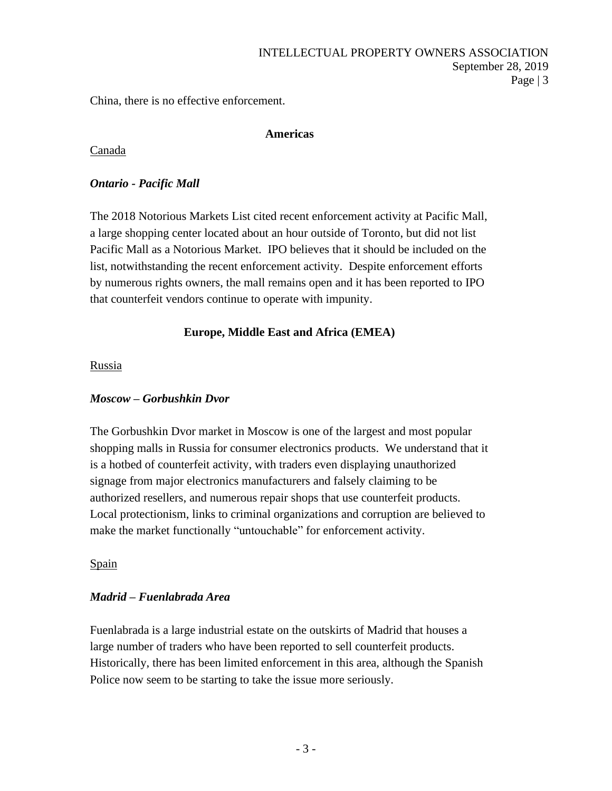China, there is no effective enforcement.

#### **Americas**

Canada

#### *Ontario - Pacific Mall*

The 2018 Notorious Markets List cited recent enforcement activity at Pacific Mall, a large shopping center located about an hour outside of Toronto, but did not list Pacific Mall as a Notorious Market. IPO believes that it should be included on the list, notwithstanding the recent enforcement activity. Despite enforcement efforts by numerous rights owners, the mall remains open and it has been reported to IPO that counterfeit vendors continue to operate with impunity.

# **Europe, Middle East and Africa (EMEA)**

#### Russia

# *Moscow – Gorbushkin Dvor*

The Gorbushkin Dvor market in Moscow is one of the largest and most popular shopping malls in Russia for consumer electronics products. We understand that it is a hotbed of counterfeit activity, with traders even displaying unauthorized signage from major electronics manufacturers and falsely claiming to be authorized resellers, and numerous repair shops that use counterfeit products. Local protectionism, links to criminal organizations and corruption are believed to make the market functionally "untouchable" for enforcement activity.

# Spain

# *Madrid – Fuenlabrada Area*

Fuenlabrada is a large industrial estate on the outskirts of Madrid that houses a large number of traders who have been reported to sell counterfeit products. Historically, there has been limited enforcement in this area, although the Spanish Police now seem to be starting to take the issue more seriously.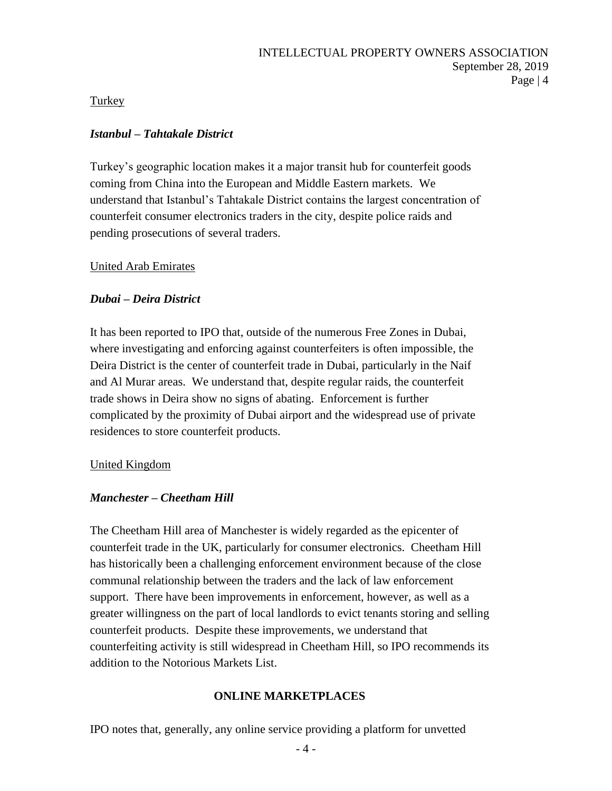#### Turkey

# *Istanbul – Tahtakale District*

Turkey's geographic location makes it a major transit hub for counterfeit goods coming from China into the European and Middle Eastern markets. We understand that Istanbul's Tahtakale District contains the largest concentration of counterfeit consumer electronics traders in the city, despite police raids and pending prosecutions of several traders.

#### United Arab Emirates

# *Dubai – Deira District*

It has been reported to IPO that, outside of the numerous Free Zones in Dubai, where investigating and enforcing against counterfeiters is often impossible, the Deira District is the center of counterfeit trade in Dubai, particularly in the Naif and Al Murar areas. We understand that, despite regular raids, the counterfeit trade shows in Deira show no signs of abating. Enforcement is further complicated by the proximity of Dubai airport and the widespread use of private residences to store counterfeit products.

# United Kingdom

# *Manchester – Cheetham Hill*

The Cheetham Hill area of Manchester is widely regarded as the epicenter of counterfeit trade in the UK, particularly for consumer electronics. Cheetham Hill has historically been a challenging enforcement environment because of the close communal relationship between the traders and the lack of law enforcement support. There have been improvements in enforcement, however, as well as a greater willingness on the part of local landlords to evict tenants storing and selling counterfeit products. Despite these improvements, we understand that counterfeiting activity is still widespread in Cheetham Hill, so IPO recommends its addition to the Notorious Markets List.

# **ONLINE MARKETPLACES**

IPO notes that, generally, any online service providing a platform for unvetted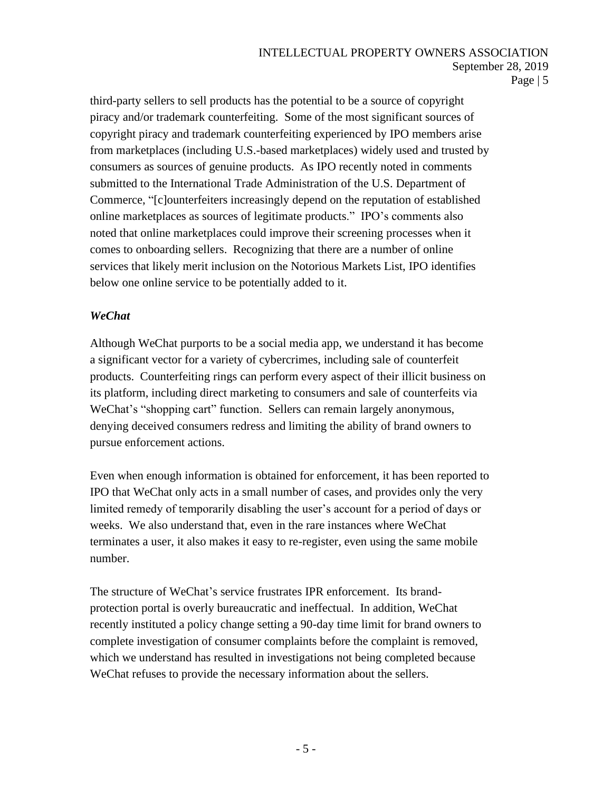#### INTELLECTUAL PROPERTY OWNERS ASSOCIATION September 28, 2019 Page | 5

third-party sellers to sell products has the potential to be a source of copyright piracy and/or trademark counterfeiting. Some of the most significant sources of copyright piracy and trademark counterfeiting experienced by IPO members arise from marketplaces (including U.S.-based marketplaces) widely used and trusted by consumers as sources of genuine products. As IPO recently noted in comments submitted to the International Trade Administration of the U.S. Department of Commerce, "[c]ounterfeiters increasingly depend on the reputation of established online marketplaces as sources of legitimate products." IPO's comments also noted that online marketplaces could improve their screening processes when it comes to onboarding sellers. Recognizing that there are a number of online services that likely merit inclusion on the Notorious Markets List, IPO identifies below one online service to be potentially added to it.

# *WeChat*

Although WeChat purports to be a social media app, we understand it has become a significant vector for a variety of cybercrimes, including sale of counterfeit products. Counterfeiting rings can perform every aspect of their illicit business on its platform, including direct marketing to consumers and sale of counterfeits via WeChat's "shopping cart" function. Sellers can remain largely anonymous, denying deceived consumers redress and limiting the ability of brand owners to pursue enforcement actions.

Even when enough information is obtained for enforcement, it has been reported to IPO that WeChat only acts in a small number of cases, and provides only the very limited remedy of temporarily disabling the user's account for a period of days or weeks. We also understand that, even in the rare instances where WeChat terminates a user, it also makes it easy to re-register, even using the same mobile number.

The structure of WeChat's service frustrates IPR enforcement. Its brandprotection portal is overly bureaucratic and ineffectual. In addition, WeChat recently instituted a policy change setting a 90-day time limit for brand owners to complete investigation of consumer complaints before the complaint is removed, which we understand has resulted in investigations not being completed because WeChat refuses to provide the necessary information about the sellers.